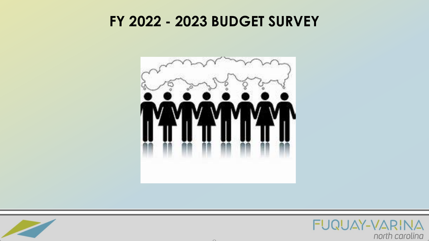#### **FY 2022 - 2023 BUDGET SURVEY**





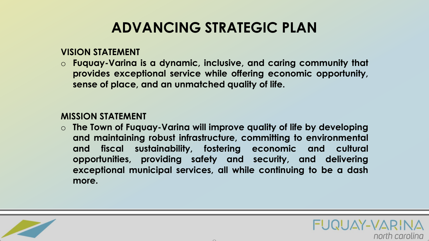### **ADVANCING STRATEGIC PLAN**

#### **VISION STATEMENT**

o **Fuquay-Varina is a dynamic, inclusive, and caring community that provides exceptional service while offering economic opportunity, sense of place, and an unmatched quality of life.**

#### **MISSION STATEMENT**

o **The Town of Fuquay-Varina will improve quality of life by developing and maintaining robust infrastructure, committing to environmental and fiscal sustainability, fostering economic and cultural opportunities, providing safety and security, and delivering exceptional municipal services, all while continuing to be a dash more.**



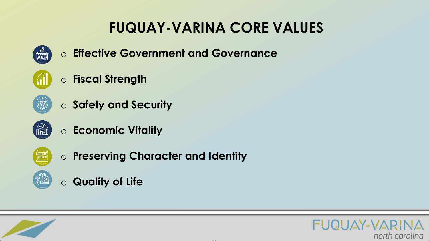## **FUQUAY-VARINA CORE VALUES**



o **Effective Government and Governance**



o **Safety and Security**



 $\textcircled{\tiny{\textcircled{\tiny{R}}}}$ 

o **Economic Vitality**



o **Preserving Character and Identity**



o **Quality of Life**



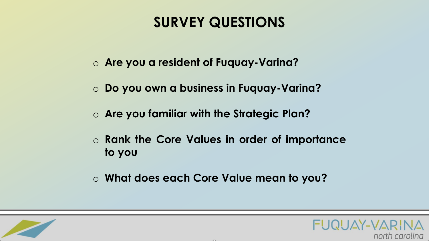#### **SURVEY QUESTIONS**

- o **Are you a resident of Fuquay-Varina?**
- o **Do you own a business in Fuquay-Varina?**
- o **Are you familiar with the Strategic Plan?**
- o **Rank the Core Values in order of importance to you**
- o **What does each Core Value mean to you?**



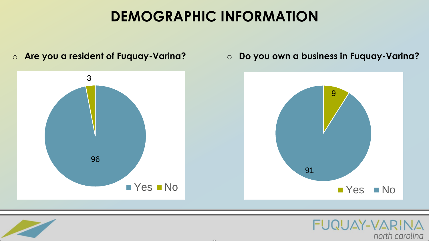#### **DEMOGRAPHIC INFORMATION**

96 3 **Yes No** 9 91 **No** 

 $\sim$ 

o **Are you a resident of Fuquay-Varina?** o **Do you own a business in Fuquay-Varina?**

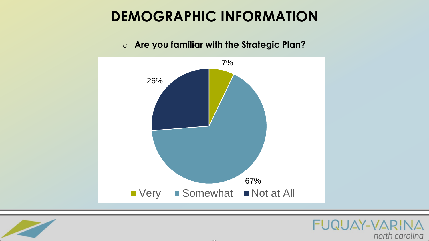#### **DEMOGRAPHIC INFORMATION**



#### o **Are you familiar with the Strategic Plan?**



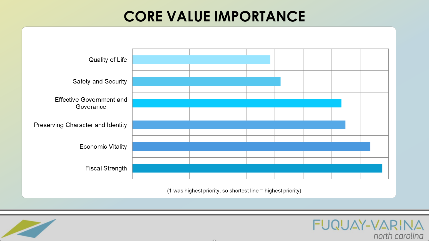#### **CORE VALUE IMPORTANCE**



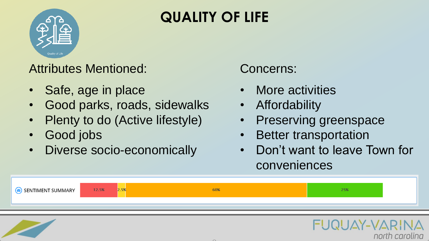

# **QUALITY OF LIFE**

#### Attributes Mentioned:

- Safe, age in place
- Good parks, roads, sidewalks
- Plenty to do (Active lifestyle)
- Good jobs
- Diverse socio-economically

#### Concerns:

- More activities
- **Affordability**
- Preserving greenspace
- **Better transportation**
- Don't want to leave Town for conveniences

Y-VAR

north carolina



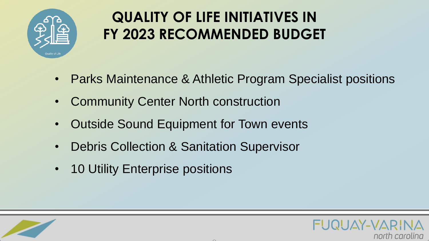

# **QUALITY OF LIFE INITIATIVES IN FY 2023 RECOMMENDED BUDGET**

- Parks Maintenance & Athletic Program Specialist positions
- Community Center North construction
- Outside Sound Equipment for Town events
- Debris Collection & Sanitation Supervisor
- 10 Utility Enterprise positions



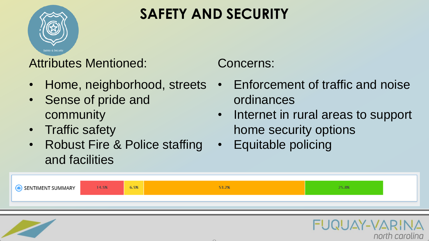

# **SAFETY AND SECURITY**

Attributes Mentioned:

- Home, neighborhood, streets
- Sense of pride and community
- **Traffic safety**
- Robust Fire & Police staffing and facilities

Concerns:

- Enforcement of traffic and noise ordinances
- Internet in rural areas to support home security options

AY-VARII

north carolina

• Equitable policing



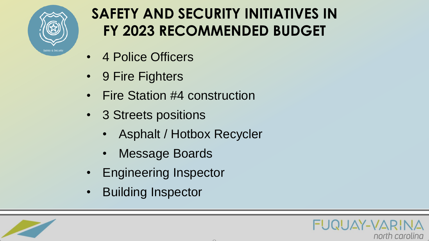

### **SAFETY AND SECURITY INITIATIVES IN FY 2023 RECOMMENDED BUDGET**

- 4 Police Officers
- 9 Fire Fighters
- Fire Station #4 construction
- 3 Streets positions
	- Asphalt / Hotbox Recycler
	- Message Boards
- Engineering Inspector
- Building Inspector



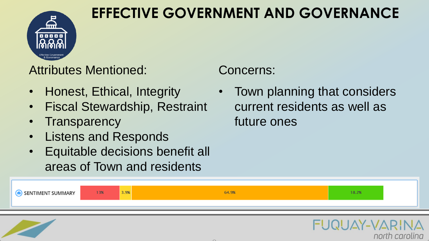

#### **EFFECTIVE GOVERNMENT AND GOVERNANCE**

Attributes Mentioned:

- Honest, Ethical, Integrity
- Fiscal Stewardship, Restraint
- **Transparency**
- Listens and Responds
- Equitable decisions benefit all areas of Town and residents

#### Concerns:

• Town planning that considers current residents as well as future ones

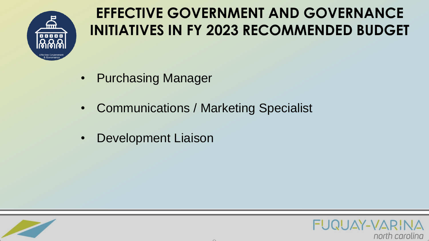

# **EFFECTIVE GOVERNMENT AND GOVERNANCE INITIATIVES IN FY 2023 RECOMMENDED BUDGET**

- Purchasing Manager
- Communications / Marketing Specialist
- Development Liaison



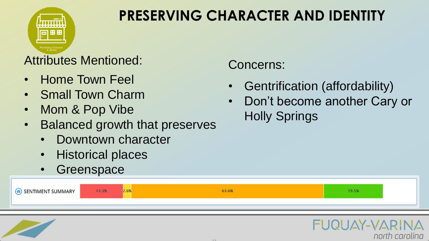

# **PRESERVING CHARACTER AND IDENTITY**

#### Attributes Mentioned:

- Home Town Feel
- Small Town Charm
- Mom & Pop Vibe
- Balanced growth that preserves
	- Downtown character
	- Historical places
	- **Greenspace**

| SENTIMENT SUMMARY | 14.3% | <b>L.VO</b> | 63.6% | 19.5% |
|-------------------|-------|-------------|-------|-------|
|                   |       |             |       |       |



Concerns:

- Gentrification (affordability)
- Don't become another Cary or Holly Springs

UAY-VARI

north carolina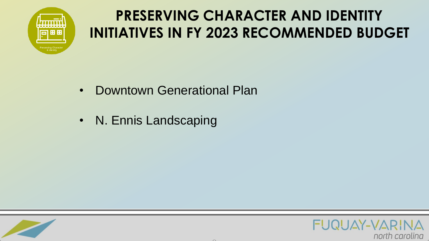

# **PRESERVING CHARACTER AND IDENTITY INITIATIVES IN FY 2023 RECOMMENDED BUDGET**

- Downtown Generational Plan
- N. Ennis Landscaping



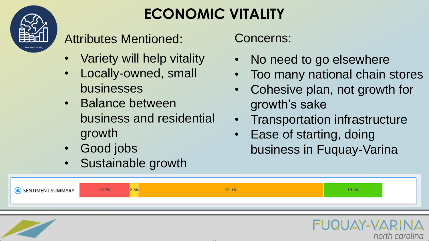

# **ECONOMIC VITALITY**

Attributes Mentioned:

- Variety will help vitality
- Locally-owned, small businesses
- Balance between business and residential growth
- Good jobs
- Sustainable growth

Concerns:

- No need to go elsewhere
- Too many national chain stores
- Cohesive plan, not growth for growth's sake
- Transportation infrastructure

 $AY-VAR$ 

north carolina

Ease of starting, doing business in Fuquay-Varina

| SENTIMENT SUMMARY |
|-------------------|
|-------------------|

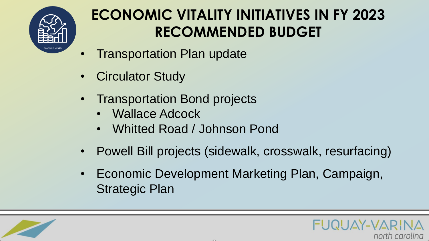

# **ECONOMIC VITALITY INITIATIVES IN FY 2023 RECOMMENDED BUDGET**

- **Transportation Plan update**
- **Circulator Study**
- Transportation Bond projects
	- Wallace Adcock
	- Whitted Road / Johnson Pond
- Powell Bill projects (sidewalk, crosswalk, resurfacing)
- Economic Development Marketing Plan, Campaign, Strategic Plan



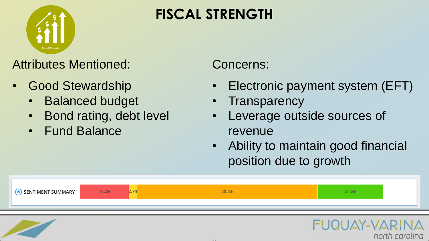

## **FISCAL STRENGTH**

#### Attributes Mentioned:

- Good Stewardship
	- Balanced budget
	- Bond rating, debt level
	- Fund Balance

#### Concerns:

- Electronic payment system (EFT)
- **Transparency**
- Leverage outside sources of revenue
- Ability to maintain good financial position due to growth

| SENTIMENT SUMMARY | 16.2% | 59.5% | 1.6% |
|-------------------|-------|-------|------|
|                   |       |       |      |